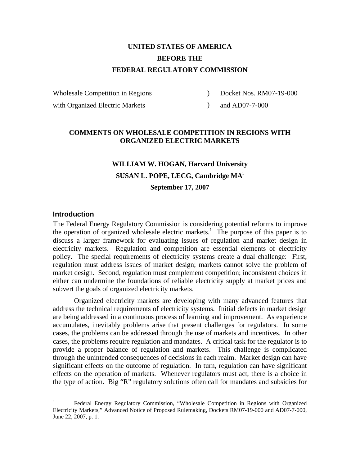# **UNITED STATES OF AMERICA BEFORE THE FEDERAL REGULATORY COMMISSION**

Wholesale Competition in Regions

with Organized Electric Markets

 $\mathcal{L}$ Docket Nos. RM07-19-000

 $)$ and AD07-7-000

### **COMMENTS ON WHOLESALE COMPETITION IN REGIONS WITH ORGANIZED ELECTRIC MARKETS**

# **WILLIAM W. HOGAN, Harvard University SUSAN L. POPE, LECG, Cambridge MA**<sup>i</sup> **September 17, 2007**

### **Introduction**

 $\overline{a}$ 

The Federal Energy Regulatory Commission is considering potential reforms to improve the operation of organized wholesale electric markets.<sup>1</sup> The purpose of this paper is to discuss a larger framework for evaluating issues of regulation and market design in electricity markets. Regulation and competition are essential elements of electricity policy. The special requirements of electricity systems create a dual challenge: First, regulation must address issues of market design; markets cannot solve the problem of market design. Second, regulation must complement competition; inconsistent choices in either can undermine the foundations of reliable electricity supply at market prices and subvert the goals of organized electricity markets.

 Organized electricity markets are developing with many advanced features that address the technical requirements of electricity systems. Initial defects in market design are being addressed in a continuous process of learning and improvement. As experience accumulates, inevitably problems arise that present challenges for regulators. In some cases, the problems can be addressed through the use of markets and incentives. In other cases, the problems require regulation and mandates. A critical task for the regulator is to provide a proper balance of regulation and markets. This challenge is complicated through the unintended consequences of decisions in each realm. Market design can have significant effects on the outcome of regulation. In turn, regulation can have significant effects on the operation of markets. Whenever regulators must act, there is a choice in the type of action. Big "R" regulatory solutions often call for mandates and subsidies for

<sup>1</sup> Federal Energy Regulatory Commission, "Wholesale Competition in Regions with Organized Electricity Markets," Advanced Notice of Proposed Rulemaking, Dockets RM07-19-000 and AD07-7-000, June 22, 2007, p. 1.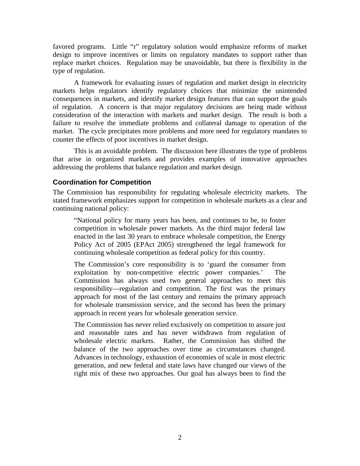favored programs. Little "r" regulatory solution would emphasize reforms of market design to improve incentives or limits on regulatory mandates to support rather than replace market choices. Regulation may be unavoidable, but there is flexibility in the type of regulation.

 A framework for evaluating issues of regulation and market design in electricity markets helps regulators identify regulatory choices that minimize the unintended consequences in markets, and identify market design features that can support the goals of regulation. A concern is that major regulatory decisions are being made without consideration of the interaction with markets and market design. The result is both a failure to resolve the immediate problems and collateral damage to operation of the market. The cycle precipitates more problems and more need for regulatory mandates to counter the effects of poor incentives in market design.

 This is an avoidable problem. The discussion here illustrates the type of problems that arise in organized markets and provides examples of innovative approaches addressing the problems that balance regulation and market design.

### **Coordination for Competition**

The Commission has responsibility for regulating wholesale electricity markets. The stated framework emphasizes support for competition in wholesale markets as a clear and continuing national policy:

"National policy for many years has been, and continues to be, to foster competition in wholesale power markets. As the third major federal law enacted in the last 30 years to embrace wholesale competition, the Energy Policy Act of 2005 (EPAct 2005) strengthened the legal framework for continuing wholesale competition as federal policy for this country.

The Commission's core responsibility is to 'guard the consumer from exploitation by non-competitive electric power companies.' The Commission has always used two general approaches to meet this responsibility—regulation and competition. The first was the primary approach for most of the last century and remains the primary approach for wholesale transmission service, and the second has been the primary approach in recent years for wholesale generation service.

The Commission has never relied exclusively on competition to assure just and reasonable rates and has never withdrawn from regulation of wholesale electric markets. Rather, the Commission has shifted the balance of the two approaches over time as circumstances changed. Advances in technology, exhaustion of economies of scale in most electric generation, and new federal and state laws have changed our views of the right mix of these two approaches. Our goal has always been to find the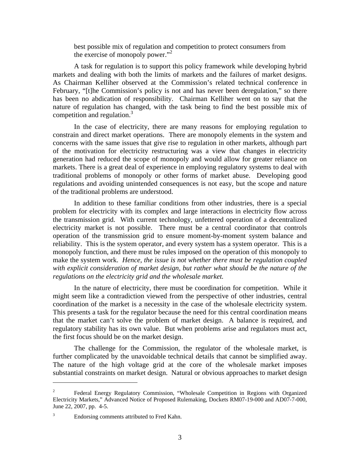best possible mix of regulation and competition to protect consumers from the exercise of monopoly power."<sup>2</sup>

A task for regulation is to support this policy framework while developing hybrid markets and dealing with both the limits of markets and the failures of market designs. As Chairman Kelliher observed at the Commission's related technical conference in February, "[t]he Commission's policy is not and has never been deregulation," so there has been no abdication of responsibility. Chairman Kelliher went on to say that the nature of regulation has changed, with the task being to find the best possible mix of competition and regulation.<sup>3</sup>

In the case of electricity, there are many reasons for employing regulation to constrain and direct market operations. There are monopoly elements in the system and concerns with the same issues that give rise to regulation in other markets, although part of the motivation for electricity restructuring was a view that changes in electricity generation had reduced the scope of monopoly and would allow for greater reliance on markets. There is a great deal of experience in employing regulatory systems to deal with traditional problems of monopoly or other forms of market abuse. Developing good regulations and avoiding unintended consequences is not easy, but the scope and nature of the traditional problems are understood.

In addition to these familiar conditions from other industries, there is a special problem for electricity with its complex and large interactions in electricity flow across the transmission grid. With current technology, unfettered operation of a decentralized electricity market is not possible. There must be a central coordinator that controls operation of the transmission grid to ensure moment-by-moment system balance and reliability. This is the system operator, and every system has a system operator. This is a monopoly function, and there must be rules imposed on the operation of this monopoly to make the system work. *Hence, the issue is not whether there must be regulation coupled with explicit consideration of market design, but rather what should be the nature of the regulations on the electricity grid and the wholesale market.*

In the nature of electricity, there must be coordination for competition. While it might seem like a contradiction viewed from the perspective of other industries, central coordination of the market is a necessity in the case of the wholesale electricity system. This presents a task for the regulator because the need for this central coordination means that the market can't solve the problem of market design. A balance is required, and regulatory stability has its own value. But when problems arise and regulators must act, the first focus should be on the market design.

The challenge for the Commission, the regulator of the wholesale market, is further complicated by the unavoidable technical details that cannot be simplified away. The nature of the high voltage grid at the core of the wholesale market imposes substantial constraints on market design. Natural or obvious approaches to market design

<sup>2</sup> Federal Energy Regulatory Commission, "Wholesale Competition in Regions with Organized Electricity Markets," Advanced Notice of Proposed Rulemaking, Dockets RM07-19-000 and AD07-7-000, June 22, 2007, pp. 4-5.

<sup>3</sup> Endorsing comments attributed to Fred Kahn.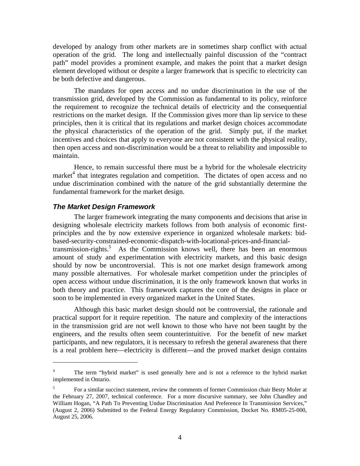developed by analogy from other markets are in sometimes sharp conflict with actual operation of the grid. The long and intellectually painful discussion of the "contract path" model provides a prominent example, and makes the point that a market design element developed without or despite a larger framework that is specific to electricity can be both defective and dangerous.

The mandates for open access and no undue discrimination in the use of the transmission grid, developed by the Commission as fundamental to its policy, reinforce the requirement to recognize the technical details of electricity and the consequential restrictions on the market design. If the Commission gives more than lip service to these principles, then it is critical that its regulations and market design choices accommodate the physical characteristics of the operation of the grid. Simply put, if the market incentives and choices that apply to everyone are not consistent with the physical reality, then open access and non-discrimination would be a threat to reliability and impossible to maintain.

Hence, to remain successful there must be a hybrid for the wholesale electricity market<sup>4</sup> that integrates regulation and competition. The dictates of open access and no undue discrimination combined with the nature of the grid substantially determine the fundamental framework for the market design.

### *The Market Design Framework*

 $\overline{a}$ 

 The larger framework integrating the many components and decisions that arise in designing wholesale electricity markets follows from both analysis of economic firstprinciples and the by now extensive experience in organized wholesale markets: bidbased-security-constrained-economic-dispatch-with-locational-prices-and-financialtransmission-rights.<sup>5</sup> As the Commission knows well, there has been an enormous amount of study and experimentation with electricity markets, and this basic design should by now be uncontroversial. This is not one market design framework among many possible alternatives. For wholesale market competition under the principles of open access without undue discrimination, it is the only framework known that works in both theory and practice. This framework captures the core of the designs in place or soon to be implemented in every organized market in the United States.

Although this basic market design should not be controversial, the rationale and practical support for it require repetition. The nature and complexity of the interactions in the transmission grid are not well known to those who have not been taught by the engineers, and the results often seem counterintuitive. For the benefit of new market participants, and new regulators, it is necessary to refresh the general awareness that there is a real problem here—electricity is different—and the proved market design contains

<sup>4</sup> The term "hybrid market" is used generally here and is not a reference to the hybrid market implemented in Ontario.

<sup>5</sup> For a similar succinct statement, review the comments of former Commission chair Besty Moler at the February 27, 2007, technical conference. For a more discursive summary, see John Chandley and William Hogan, "A Path To Preventing Undue Discrimination And Preference In Transmission Services," (August 2, 2006) Submitted to the Federal Energy Regulatory Commission, Docket No. RM05-25-000, August 25, 2006.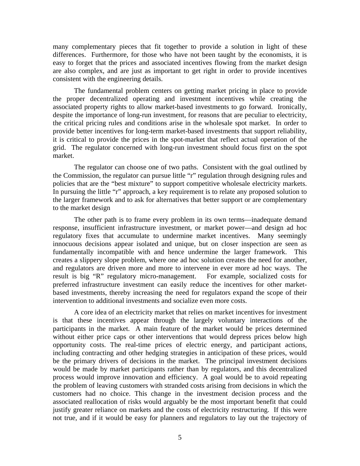many complementary pieces that fit together to provide a solution in light of these differences. Furthermore, for those who have not been taught by the economists, it is easy to forget that the prices and associated incentives flowing from the market design are also complex, and are just as important to get right in order to provide incentives consistent with the engineering details.

The fundamental problem centers on getting market pricing in place to provide the proper decentralized operating and investment incentives while creating the associated property rights to allow market-based investments to go forward. Ironically, despite the importance of long-run investment, for reasons that are peculiar to electricity, the critical pricing rules and conditions arise in the wholesale spot market. In order to provide better incentives for long-term market-based investments that support reliability, it is critical to provide the prices in the spot-market that reflect actual operation of the grid. The regulator concerned with long-run investment should focus first on the spot market.

The regulator can choose one of two paths. Consistent with the goal outlined by the Commission, the regulator can pursue little "r" regulation through designing rules and policies that are the "best mixture" to support competitive wholesale electricity markets. In pursuing the little "r" approach, a key requirement is to relate any proposed solution to the larger framework and to ask for alternatives that better support or are complementary to the market design

The other path is to frame every problem in its own terms—inadequate demand response, insufficient infrastructure investment, or market power—and design ad hoc regulatory fixes that accumulate to undermine market incentives. Many seemingly innocuous decisions appear isolated and unique, but on closer inspection are seen as fundamentally incompatible with and hence undermine the larger framework. This creates a slippery slope problem, where one ad hoc solution creates the need for another, and regulators are driven more and more to intervene in ever more ad hoc ways. The result is big "R" regulatory micro-management. For example, socialized costs for preferred infrastructure investment can easily reduce the incentives for other marketbased investments, thereby increasing the need for regulators expand the scope of their intervention to additional investments and socialize even more costs.

A core idea of an electricity market that relies on market incentives for investment is that these incentives appear through the largely voluntary interactions of the participants in the market. A main feature of the market would be prices determined without either price caps or other interventions that would depress prices below high opportunity costs. The real-time prices of electric energy, and participant actions, including contracting and other hedging strategies in anticipation of these prices, would be the primary drivers of decisions in the market. The principal investment decisions would be made by market participants rather than by regulators, and this decentralized process would improve innovation and efficiency. A goal would be to avoid repeating the problem of leaving customers with stranded costs arising from decisions in which the customers had no choice. This change in the investment decision process and the associated reallocation of risks would arguably be the most important benefit that could justify greater reliance on markets and the costs of electricity restructuring. If this were not true, and if it would be easy for planners and regulators to lay out the trajectory of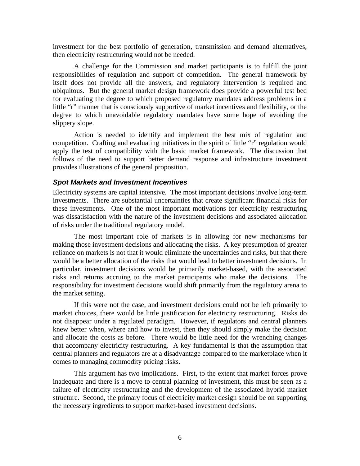investment for the best portfolio of generation, transmission and demand alternatives, then electricity restructuring would not be needed.

A challenge for the Commission and market participants is to fulfill the joint responsibilities of regulation and support of competition. The general framework by itself does not provide all the answers, and regulatory intervention is required and ubiquitous. But the general market design framework does provide a powerful test bed for evaluating the degree to which proposed regulatory mandates address problems in a little "r" manner that is consciously supportive of market incentives and flexibility, or the degree to which unavoidable regulatory mandates have some hope of avoiding the slippery slope.

 Action is needed to identify and implement the best mix of regulation and competition. Crafting and evaluating initiatives in the spirit of little "r" regulation would apply the test of compatibility with the basic market framework. The discussion that follows of the need to support better demand response and infrastructure investment provides illustrations of the general proposition.

#### *Spot Markets and Investment Incentives*

Electricity systems are capital intensive. The most important decisions involve long-term investments. There are substantial uncertainties that create significant financial risks for these investments. One of the most important motivations for electricity restructuring was dissatisfaction with the nature of the investment decisions and associated allocation of risks under the traditional regulatory model.

The most important role of markets is in allowing for new mechanisms for making those investment decisions and allocating the risks. A key presumption of greater reliance on markets is not that it would eliminate the uncertainties and risks, but that there would be a better allocation of the risks that would lead to better investment decisions. In particular, investment decisions would be primarily market-based, with the associated risks and returns accruing to the market participants who make the decisions. The responsibility for investment decisions would shift primarily from the regulatory arena to the market setting.

If this were not the case, and investment decisions could not be left primarily to market choices, there would be little justification for electricity restructuring. Risks do not disappear under a regulated paradigm. However, if regulators and central planners knew better when, where and how to invest, then they should simply make the decision and allocate the costs as before. There would be little need for the wrenching changes that accompany electricity restructuring. A key fundamental is that the assumption that central planners and regulators are at a disadvantage compared to the marketplace when it comes to managing commodity pricing risks.

This argument has two implications. First, to the extent that market forces prove inadequate and there is a move to central planning of investment, this must be seen as a failure of electricity restructuring and the development of the associated hybrid market structure. Second, the primary focus of electricity market design should be on supporting the necessary ingredients to support market-based investment decisions.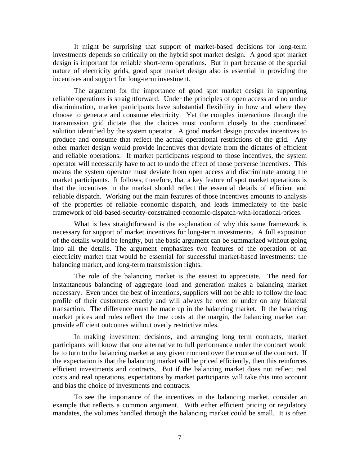It might be surprising that support of market-based decisions for long-term investments depends so critically on the hybrid spot market design. A good spot market design is important for reliable short-term operations. But in part because of the special nature of electricity grids, good spot market design also is essential in providing the incentives and support for long-term investment.

The argument for the importance of good spot market design in supporting reliable operations is straightforward. Under the principles of open access and no undue discrimination, market participants have substantial flexibility in how and where they choose to generate and consume electricity. Yet the complex interactions through the transmission grid dictate that the choices must conform closely to the coordinated solution identified by the system operator. A good market design provides incentives to produce and consume that reflect the actual operational restrictions of the grid. Any other market design would provide incentives that deviate from the dictates of efficient and reliable operations. If market participants respond to those incentives, the system operator will necessarily have to act to undo the effect of those perverse incentives. This means the system operator must deviate from open access and discriminate among the market participants. It follows, therefore, that a key feature of spot market operations is that the incentives in the market should reflect the essential details of efficient and reliable dispatch. Working out the main features of those incentives amounts to analysis of the properties of reliable economic dispatch, and leads immediately to the basic framework of bid-based-security-constrained-economic-dispatch-with-locational-prices.

What is less straightforward is the explanation of why this same framework is necessary for support of market incentives for long-term investments. A full exposition of the details would be lengthy, but the basic argument can be summarized without going into all the details. The argument emphasizes two features of the operation of an electricity market that would be essential for successful market-based investments: the balancing market, and long-term transmission rights.

The role of the balancing market is the easiest to appreciate. The need for instantaneous balancing of aggregate load and generation makes a balancing market necessary. Even under the best of intentions, suppliers will not be able to follow the load profile of their customers exactly and will always be over or under on any bilateral transaction. The difference must be made up in the balancing market. If the balancing market prices and rules reflect the true costs at the margin, the balancing market can provide efficient outcomes without overly restrictive rules.

In making investment decisions, and arranging long term contracts, market participants will know that one alternative to full performance under the contract would be to turn to the balancing market at any given moment over the course of the contract. If the expectation is that the balancing market will be priced efficiently, then this reinforces efficient investments and contracts. But if the balancing market does not reflect real costs and real operations, expectations by market participants will take this into account and bias the choice of investments and contracts.

To see the importance of the incentives in the balancing market, consider an example that reflects a common argument. With either efficient pricing or regulatory mandates, the volumes handled through the balancing market could be small. It is often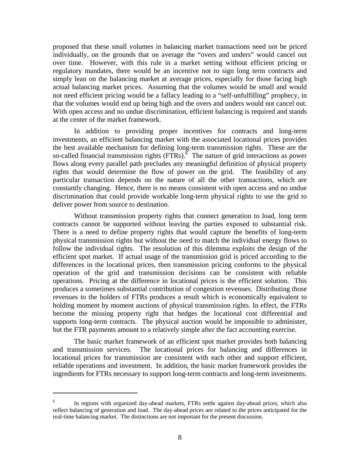proposed that these small volumes in balancing market transactions need not be priced individually, on the grounds that on average the "overs and unders" would cancel out over time. However, with this rule in a market setting without efficient pricing or regulatory mandates, there would be an incentive not to sign long term contracts and simply lean on the balancing market at average prices, especially for those facing high actual balancing market prices. Assuming that the volumes would be small and would not need efficient pricing would be a fallacy leading to a "self-unfulfilling" prophecy, in that the volumes would end up being high and the overs and unders would not cancel out. With open access and no undue discrimination, efficient balancing is required and stands at the center of the market framework.

In addition to providing proper incentives for contracts and long-term investments, an efficient balancing market with the associated locational prices provides the best available mechanism for defining long-term transmission rights. These are the so-called financial transmission rights  $(FTRs)$ .<sup>6</sup> The nature of grid interactions as power flows along every parallel path precludes any meaningful definition of physical property rights that would determine the flow of power on the grid. The feasibility of any particular transaction depends on the nature of all the other transactions, which are constantly changing. Hence, there is no means consistent with open access and no undue discrimination that could provide workable long-term physical rights to use the grid to deliver power from source to destination.

Without transmission property rights that connect generation to load, long term contracts cannot be supported without leaving the parties exposed to substantial risk. There is a need to define property rights that would capture the benefits of long-term physical transmission rights but without the need to match the individual energy flows to follow the individual rights. The resolution of this dilemma exploits the design of the efficient spot market. If actual usage of the transmission grid is priced according to the differences in the locational prices, then transmission pricing conforms to the physical operation of the grid and transmission decisions can be consistent with reliable operations. Pricing at the difference in locational prices is the efficient solution. This produces a sometimes substantial contribution of congestion revenues. Distributing those revenues to the holders of FTRs produces a result which is economically equivalent to holding moment by moment auctions of physical transmission rights. In effect, the FTRs become the missing property right that hedges the locational cost differential and supports long-term contracts. The physical auction would be impossible to administer, but the FTR payments amount to a relatively simple after the fact accounting exercise.

The basic market framework of an efficient spot market provides both balancing and transmission services. The locational prices for balancing and differences in locational prices for transmission are consistent with each other and support efficient, reliable operations and investment. In addition, the basic market framework provides the ingredients for FTRs necessary to support long-term contracts and long-term investments.

<sup>6</sup> In regions with organized day-ahead markets, FTRs settle against day-ahead prices, which also reflect balancing of generation and load. The day-ahead prices are related to the prices anticipated for the real-time balancing market. The distinctions are not important for the present discussion.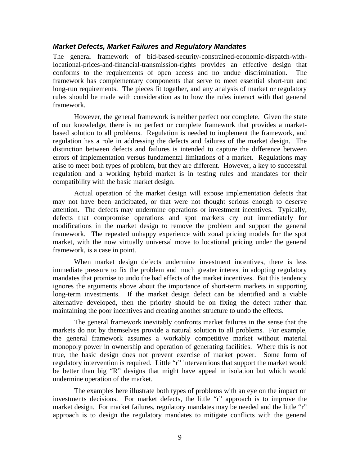#### *Market Defects, Market Failures and Regulatory Mandates*

The general framework of bid-based-security-constrained-economic-dispatch-withlocational-prices-and-financial-transmission-rights provides an effective design that conforms to the requirements of open access and no undue discrimination. The framework has complementary components that serve to meet essential short-run and long-run requirements. The pieces fit together, and any analysis of market or regulatory rules should be made with consideration as to how the rules interact with that general framework.

 However, the general framework is neither perfect nor complete. Given the state of our knowledge, there is no perfect or complete framework that provides a marketbased solution to all problems. Regulation is needed to implement the framework, and regulation has a role in addressing the defects and failures of the market design. The distinction between defects and failures is intended to capture the difference between errors of implementation versus fundamental limitations of a market. Regulations may arise to meet both types of problem, but they are different. However, a key to successful regulation and a working hybrid market is in testing rules and mandates for their compatibility with the basic market design.

 Actual operation of the market design will expose implementation defects that may not have been anticipated, or that were not thought serious enough to deserve attention. The defects may undermine operations or investment incentives. Typically, defects that compromise operations and spot markets cry out immediately for modifications in the market design to remove the problem and support the general framework. The repeated unhappy experience with zonal pricing models for the spot market, with the now virtually universal move to locational pricing under the general framework, is a case in point.

 When market design defects undermine investment incentives, there is less immediate pressure to fix the problem and much greater interest in adopting regulatory mandates that promise to undo the bad effects of the market incentives. But this tendency ignores the arguments above about the importance of short-term markets in supporting long-term investments. If the market design defect can be identified and a viable alternative developed, then the priority should be on fixing the defect rather than maintaining the poor incentives and creating another structure to undo the effects.

 The general framework inevitably confronts market failures in the sense that the markets do not by themselves provide a natural solution to all problems. For example, the general framework assumes a workably competitive market without material monopoly power in ownership and operation of generating facilities. Where this is not true, the basic design does not prevent exercise of market power. Some form of regulatory intervention is required. Little "r" interventions that support the market would be better than big "R" designs that might have appeal in isolation but which would undermine operation of the market.

 The examples here illustrate both types of problems with an eye on the impact on investments decisions. For market defects, the little "r" approach is to improve the market design. For market failures, regulatory mandates may be needed and the little "r" approach is to design the regulatory mandates to mitigate conflicts with the general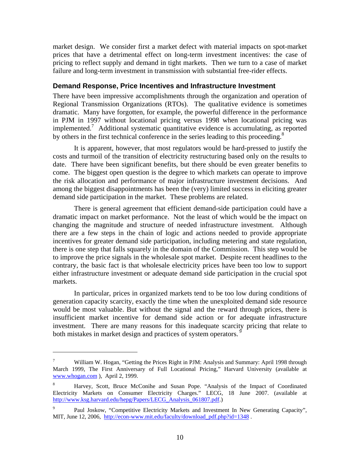market design. We consider first a market defect with material impacts on spot-market prices that have a detrimental effect on long-term investment incentives: the case of pricing to reflect supply and demand in tight markets. Then we turn to a case of market failure and long-term investment in transmission with substantial free-rider effects.

#### **Demand Response, Price Incentives and Infrastructure Investment**

There have been impressive accomplishments through the organization and operation of Regional Transmission Organizations (RTOs). The qualitative evidence is sometimes dramatic. Many have forgotten, for example, the powerful difference in the performance in PJM in 1997 without locational pricing versus 1998 when locational pricing was implemented.<sup>7</sup> Additional systematic quantitative evidence is accumulating, as reported by others in the first technical conference in the series leading to this proceeding.<sup>8</sup>

It is apparent, however, that most regulators would be hard-pressed to justify the costs and turmoil of the transition of electricity restructuring based only on the results to date. There have been significant benefits, but there should be even greater benefits to come. The biggest open question is the degree to which markets can operate to improve the risk allocation and performance of major infrastructure investment decisions. And among the biggest disappointments has been the (very) limited success in eliciting greater demand side participation in the market. These problems are related.

 There is general agreement that efficient demand-side participation could have a dramatic impact on market performance. Not the least of which would be the impact on changing the magnitude and structure of needed infrastructure investment. Although there are a few steps in the chain of logic and actions needed to provide appropriate incentives for greater demand side participation, including metering and state regulation, there is one step that falls squarely in the domain of the Commission. This step would be to improve the price signals in the wholesale spot market. Despite recent headlines to the contrary, the basic fact is that wholesale electricity prices have been too low to support either infrastructure investment or adequate demand side participation in the crucial spot markets.

 In particular, prices in organized markets tend to be too low during conditions of generation capacity scarcity, exactly the time when the unexploited demand side resource would be most valuable. But without the signal and the reward through prices, there is insufficient market incentive for demand side action or for adequate infrastructure investment. There are many reasons for this inadequate scarcity pricing that relate to both mistakes in market design and practices of system operators.<sup>9</sup>

<sup>7</sup> William W. Hogan, "Getting the Prices Right in PJM: Analysis and Summary: April 1998 through March 1999, The First Anniversary of Full Locational Pricing," Harvard University (available at www.whogan.com ), April 2, 1999.

<sup>8</sup> Harvey, Scott, Bruce McConihe and Susan Pope. "Analysis of the Impact of Coordinated Electricity Markets on Consumer Electricity Charges." LECG, 18 June 2007. (available at http://www.ksg.harvard.edu/hepg/Papers/LECG\_Analysis\_061807.pdf.)

<sup>9</sup> Paul Joskow, "Competitive Electricity Markets and Investment In New Generating Capacity", MIT, June 12, 2006, http://econ-www.mit.edu/faculty/download\_pdf.php?id=1348.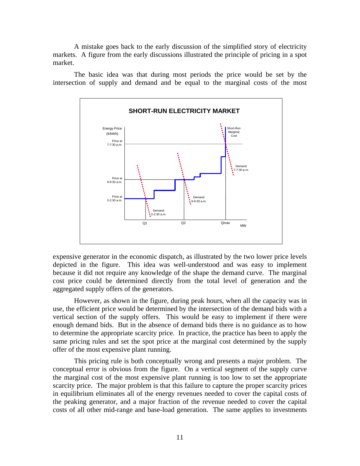A mistake goes back to the early discussion of the simplified story of electricity markets. A figure from the early discussions illustrated the principle of pricing in a spot market.

 The basic idea was that during most periods the price would be set by the intersection of supply and demand and be equal to the marginal costs of the most



expensive generator in the economic dispatch, as illustrated by the two lower price levels depicted in the figure. This idea was well-understood and was easy to implement because it did not require any knowledge of the shape the demand curve. The marginal cost price could be determined directly from the total level of generation and the aggregated supply offers of the generators.

 However, as shown in the figure, during peak hours, when all the capacity was in use, the efficient price would be determined by the intersection of the demand bids with a vertical section of the supply offers. This would be easy to implement if there were enough demand bids. But in the absence of demand bids there is no guidance as to how to determine the appropriate scarcity price. In practice, the practice has been to apply the same pricing rules and set the spot price at the marginal cost determined by the supply offer of the most expensive plant running.

This pricing rule is both conceptually wrong and presents a major problem. The conceptual error is obvious from the figure. On a vertical segment of the supply curve the marginal cost of the most expensive plant running is too low to set the appropriate scarcity price. The major problem is that this failure to capture the proper scarcity prices in equilibrium eliminates all of the energy revenues needed to cover the capital costs of the peaking generator, and a major fraction of the revenue needed to cover the capital costs of all other mid-range and base-load generation. The same applies to investments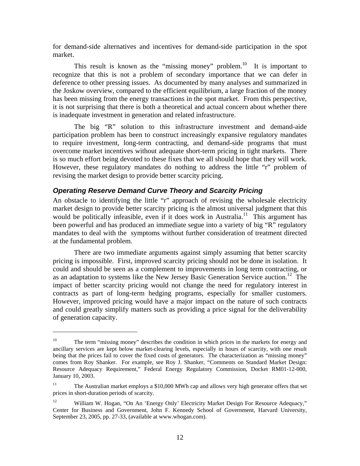for demand-side alternatives and incentives for demand-side participation in the spot market.

This result is known as the "missing money" problem.<sup>10</sup> It is important to recognize that this is not a problem of secondary importance that we can defer in deference to other pressing issues. As documented by many analyses and summarized in the Joskow overview, compared to the efficient equilibrium, a large fraction of the money has been missing from the energy transactions in the spot market. From this perspective, it is not surprising that there is both a theoretical and actual concern about whether there is inadequate investment in generation and related infrastructure.

 The big "R" solution to this infrastructure investment and demand-aide participation problem has been to construct increasingly expansive regulatory mandates to require investment, long-term contracting, and demand-side programs that must overcome market incentives without adequate short-term pricing in tight markets. There is so much effort being devoted to these fixes that we all should hope that they will work. However, these regulatory mandates do nothing to address the little "r" problem of revising the market design to provide better scarcity pricing.

### *Operating Reserve Demand Curve Theory and Scarcity Pricing*

An obstacle to identifying the little "r" approach of revising the wholesale electricity market design to provide better scarcity pricing is the almost universal judgment that this would be politically infeasible, even if it does work in Australia.<sup>11</sup> This argument has been powerful and has produced an immediate segue into a variety of big "R" regulatory mandates to deal with the symptoms without further consideration of treatment directed at the fundamental problem.

 There are two immediate arguments against simply assuming that better scarcity pricing is impossible. First, improved scarcity pricing should not be done in isolation. It could and should be seen as a complement to improvements in long term contracting, or as an adaptation to systems like the New Jersey Basic Generation Service auction.<sup>12</sup> The impact of better scarcity pricing would not change the need for regulatory interest in contracts as part of long-term hedging programs, especially for smaller customers. However, improved pricing would have a major impact on the nature of such contracts and could greatly simplify matters such as providing a price signal for the deliverability of generation capacity.

1

<sup>&</sup>lt;sup>10</sup> The term "missing money" describes the condition in which prices in the markets for energy and ancillary services are kept below market-clearing levels, especially in hours of scarcity, with one result being that the prices fail to cover the fixed costs of generators. The characterization as "missing money" comes from Roy Shanker. For example, see Roy J. Shanker, "Comments on Standard Market Design: Resource Adequacy Requirement," Federal Energy Regulatory Commission, Docket RM01-12-000, January 10, 2003.

<sup>&</sup>lt;sup>11</sup> The Australian market employs a \$10,000 MWh cap and allows very high generator offers that set prices in short-duration periods of scarcity.

<sup>&</sup>lt;sup>12</sup> William W. Hogan, "On An 'Energy Only' Electricity Market Design For Resource Adequacy," Center for Business and Government, John F. Kennedy School of Government, Harvard University, September 23, 2005, pp. 27-33, (available at www.whogan.com).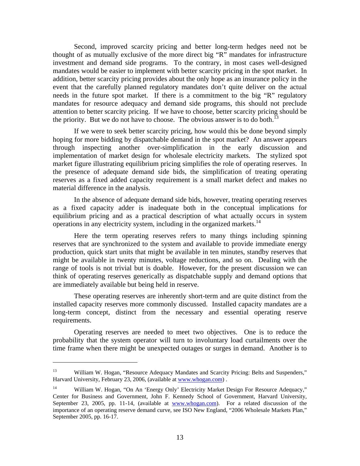Second, improved scarcity pricing and better long-term hedges need not be thought of as mutually exclusive of the more direct big "R" mandates for infrastructure investment and demand side programs. To the contrary, in most cases well-designed mandates would be easier to implement with better scarcity pricing in the spot market. In addition, better scarcity pricing provides about the only hope as an insurance policy in the event that the carefully planned regulatory mandates don't quite deliver on the actual needs in the future spot market. If there is a commitment to the big "R" regulatory mandates for resource adequacy and demand side programs, this should not preclude attention to better scarcity pricing. If we have to choose, better scarcity pricing should be the priority. But we do not have to choose. The obvious answer is to do both.<sup>13</sup>

 If we were to seek better scarcity pricing, how would this be done beyond simply hoping for more bidding by dispatchable demand in the spot market? An answer appears through inspecting another over-simplification in the early discussion and implementation of market design for wholesale electricity markets. The stylized spot market figure illustrating equilibrium pricing simplifies the role of operating reserves. In the presence of adequate demand side bids, the simplification of treating operating reserves as a fixed added capacity requirement is a small market defect and makes no material difference in the analysis.

 In the absence of adequate demand side bids, however, treating operating reserves as a fixed capacity adder is inadequate both in the conceptual implications for equilibrium pricing and as a practical description of what actually occurs in system operations in any electricity system, including in the organized markets.14

 Here the term operating reserves refers to many things including spinning reserves that are synchronized to the system and available to provide immediate energy production, quick start units that might be available in ten minutes, standby reserves that might be available in twenty minutes, voltage reductions, and so on. Dealing with the range of tools is not trivial but is doable. However, for the present discussion we can think of operating reserves generically as dispatchable supply and demand options that are immediately available but being held in reserve.

 These operating reserves are inherently short-term and are quite distinct from the installed capacity reserves more commonly discussed. Installed capacity mandates are a long-term concept, distinct from the necessary and essential operating reserve requirements.

 Operating reserves are needed to meet two objectives. One is to reduce the probability that the system operator will turn to involuntary load curtailments over the time frame when there might be unexpected outages or surges in demand. Another is to

<sup>&</sup>lt;sup>13</sup> William W. Hogan, "Resource Adequacy Mandates and Scarcity Pricing: Belts and Suspenders," Harvard University, February 23, 2006, (available at www.whogan.com) .

<sup>&</sup>lt;sup>14</sup> William W. Hogan, "On An 'Energy Only' Electricity Market Design For Resource Adequacy," Center for Business and Government, John F. Kennedy School of Government, Harvard University, September 23, 2005, pp. 11-14, (available at www.whogan.com). For a related discussion of the importance of an operating reserve demand curve, see ISO New England, "2006 Wholesale Markets Plan," September 2005, pp. 16-17.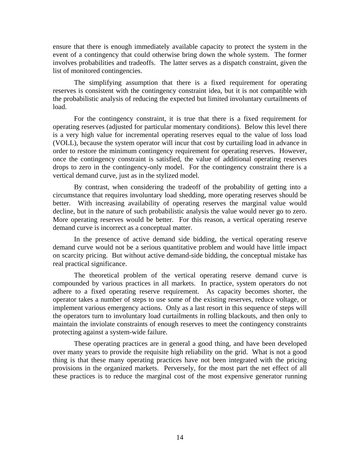ensure that there is enough immediately available capacity to protect the system in the event of a contingency that could otherwise bring down the whole system. The former involves probabilities and tradeoffs. The latter serves as a dispatch constraint, given the list of monitored contingencies.

 The simplifying assumption that there is a fixed requirement for operating reserves is consistent with the contingency constraint idea, but it is not compatible with the probabilistic analysis of reducing the expected but limited involuntary curtailments of load.

 For the contingency constraint, it is true that there is a fixed requirement for operating reserves (adjusted for particular momentary conditions). Below this level there is a very high value for incremental operating reserves equal to the value of loss load (VOLL), because the system operator will incur that cost by curtailing load in advance in order to restore the minimum contingency requirement for operating reserves. However, once the contingency constraint is satisfied, the value of additional operating reserves drops to zero in the contingency-only model. For the contingency constraint there is a vertical demand curve, just as in the stylized model.

 By contrast, when considering the tradeoff of the probability of getting into a circumstance that requires involuntary load shedding, more operating reserves should be better. With increasing availability of operating reserves the marginal value would decline, but in the nature of such probabilistic analysis the value would never go to zero. More operating reserves would be better. For this reason, a vertical operating reserve demand curve is incorrect as a conceptual matter.

 In the presence of active demand side bidding, the vertical operating reserve demand curve would not be a serious quantitative problem and would have little impact on scarcity pricing. But without active demand-side bidding, the conceptual mistake has real practical significance.

 The theoretical problem of the vertical operating reserve demand curve is compounded by various practices in all markets. In practice, system operators do not adhere to a fixed operating reserve requirement. As capacity becomes shorter, the operator takes a number of steps to use some of the existing reserves, reduce voltage, or implement various emergency actions. Only as a last resort in this sequence of steps will the operators turn to involuntary load curtailments in rolling blackouts, and then only to maintain the inviolate constraints of enough reserves to meet the contingency constraints protecting against a system-wide failure.

 These operating practices are in general a good thing, and have been developed over many years to provide the requisite high reliability on the grid. What is not a good thing is that these many operating practices have not been integrated with the pricing provisions in the organized markets. Perversely, for the most part the net effect of all these practices is to reduce the marginal cost of the most expensive generator running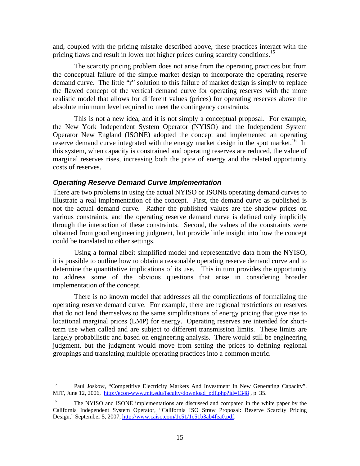and, coupled with the pricing mistake described above, these practices interact with the pricing flaws and result in lower not higher prices during scarcity conditions.<sup>15</sup>

 The scarcity pricing problem does not arise from the operating practices but from the conceptual failure of the simple market design to incorporate the operating reserve demand curve. The little "r" solution to this failure of market design is simply to replace the flawed concept of the vertical demand curve for operating reserves with the more realistic model that allows for different values (prices) for operating reserves above the absolute minimum level required to meet the contingency constraints.

 This is not a new idea, and it is not simply a conceptual proposal. For example, the New York Independent System Operator (NYISO) and the Independent System Operator New England (ISONE) adopted the concept and implemented an operating reserve demand curve integrated with the energy market design in the spot market.<sup>16</sup> In this system, when capacity is constrained and operating reserves are reduced, the value of marginal reserves rises, increasing both the price of energy and the related opportunity costs of reserves.

#### *Operating Reserve Demand Curve Implementation*

1

There are two problems in using the actual NYISO or ISONE operating demand curves to illustrate a real implementation of the concept. First, the demand curve as published is not the actual demand curve. Rather the published values are the shadow prices on various constraints, and the operating reserve demand curve is defined only implicitly through the interaction of these constraints. Second, the values of the constraints were obtained from good engineering judgment, but provide little insight into how the concept could be translated to other settings.

 Using a formal albeit simplified model and representative data from the NYISO, it is possible to outline how to obtain a reasonable operating reserve demand curve and to determine the quantitative implications of its use. This in turn provides the opportunity to address some of the obvious questions that arise in considering broader implementation of the concept.

 There is no known model that addresses all the complications of formalizing the operating reserve demand curve. For example, there are regional restrictions on reserves that do not lend themselves to the same simplifications of energy pricing that give rise to locational marginal prices (LMP) for energy. Operating reserves are intended for shortterm use when called and are subject to different transmission limits. These limits are largely probabilistic and based on engineering analysis. There would still be engineering judgment, but the judgment would move from setting the prices to defining regional groupings and translating multiple operating practices into a common metric.

<sup>&</sup>lt;sup>15</sup> Paul Joskow, "Competitive Electricity Markets And Investment In New Generating Capacity", MIT, June 12, 2006, http://econ-www.mit.edu/faculty/download pdf.php?id=1348 , p. 35.

<sup>&</sup>lt;sup>16</sup> The NYISO and ISONE implementations are discussed and compared in the white paper by the California Independent System Operator, "California ISO Straw Proposal: Reserve Scarcity Pricing Design," September 5, 2007, http://www.caiso.com/1c51/1c51b3ab4fea0.pdf.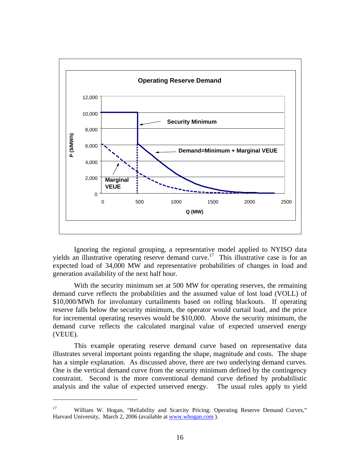

 Ignoring the regional grouping, a representative model applied to NYISO data yields an illustrative operating reserve demand curve.<sup>17</sup> This illustrative case is for an expected load of 34,000 MW and representative probabilities of changes in load and generation availability of the next half hour.

With the security minimum set at 500 MW for operating reserves, the remaining demand curve reflects the probabilities and the assumed value of lost load (VOLL) of \$10,000/MWh for involuntary curtailments based on rolling blackouts. If operating reserve falls below the security minimum, the operator would curtail load, and the price for incremental operating reserves would be \$10,000. Above the security minimum, the demand curve reflects the calculated marginal value of expected unserved energy (VEUE).

 This example operating reserve demand curve based on representative data illustrates several important points regarding the shape, magnitude and costs. The shape has a simple explanation. As discussed above, there are two underlying demand curves. One is the vertical demand curve from the security minimum defined by the contingency constraint. Second is the more conventional demand curve defined by probabilistic analysis and the value of expected unserved energy. The usual rules apply to yield

<sup>&</sup>lt;sup>17</sup> William W. Hogan, "Reliability and Scarcity Pricing: Operating Reserve Demand Curves," Harvard University, March 2, 2006 (available at www.whogan.com).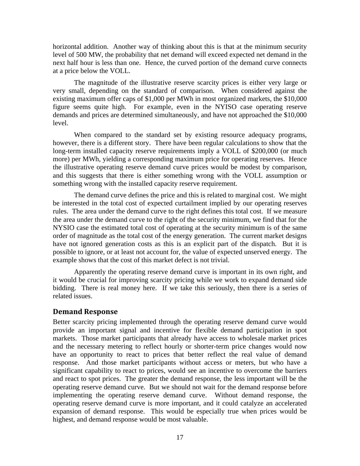horizontal addition. Another way of thinking about this is that at the minimum security level of 500 MW, the probability that net demand will exceed expected net demand in the next half hour is less than one. Hence, the curved portion of the demand curve connects at a price below the VOLL.

 The magnitude of the illustrative reserve scarcity prices is either very large or very small, depending on the standard of comparison. When considered against the existing maximum offer caps of \$1,000 per MWh in most organized markets, the \$10,000 figure seems quite high. For example, even in the NYISO case operating reserve demands and prices are determined simultaneously, and have not approached the \$10,000 level.

When compared to the standard set by existing resource adequacy programs, however, there is a different story. There have been regular calculations to show that the long-term installed capacity reserve requirements imply a VOLL of \$200,000 (or much more) per MWh, yielding a corresponding maximum price for operating reserves. Hence the illustrative operating reserve demand curve prices would be modest by comparison, and this suggests that there is either something wrong with the VOLL assumption or something wrong with the installed capacity reserve requirement.

The demand curve defines the price and this is related to marginal cost. We might be interested in the total cost of expected curtailment implied by our operating reserves rules. The area under the demand curve to the right defines this total cost. If we measure the area under the demand curve to the right of the security minimum, we find that for the NYSIO case the estimated total cost of operating at the security minimum is of the same order of magnitude as the total cost of the energy generation. The current market designs have not ignored generation costs as this is an explicit part of the dispatch. But it is possible to ignore, or at least not account for, the value of expected unserved energy. The example shows that the cost of this market defect is not trivial.

Apparently the operating reserve demand curve is important in its own right, and it would be crucial for improving scarcity pricing while we work to expand demand side bidding. There is real money here. If we take this seriously, then there is a series of related issues.

### **Demand Response**

Better scarcity pricing implemented through the operating reserve demand curve would provide an important signal and incentive for flexible demand participation in spot markets. Those market participants that already have access to wholesale market prices and the necessary metering to reflect hourly or shorter-term price changes would now have an opportunity to react to prices that better reflect the real value of demand response. And those market participants without access or meters, but who have a significant capability to react to prices, would see an incentive to overcome the barriers and react to spot prices. The greater the demand response, the less important will be the operating reserve demand curve. But we should not wait for the demand response before implementing the operating reserve demand curve. Without demand response, the operating reserve demand curve is more important, and it could catalyze an accelerated expansion of demand response. This would be especially true when prices would be highest, and demand response would be most valuable.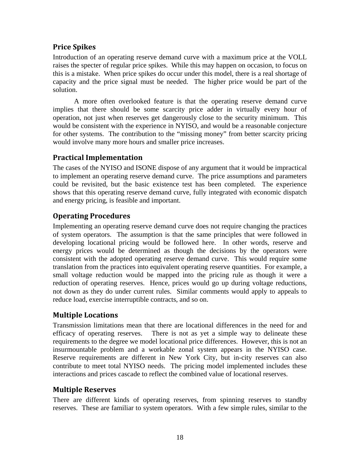# **Price Spikes**

Introduction of an operating reserve demand curve with a maximum price at the VOLL raises the specter of regular price spikes. While this may happen on occasion, to focus on this is a mistake. When price spikes do occur under this model, there is a real shortage of capacity and the price signal must be needed. The higher price would be part of the solution.

 A more often overlooked feature is that the operating reserve demand curve implies that there should be some scarcity price adder in virtually every hour of operation, not just when reserves get dangerously close to the security minimum. This would be consistent with the experience in NYISO, and would be a reasonable conjecture for other systems. The contribution to the "missing money" from better scarcity pricing would involve many more hours and smaller price increases.

# **Practical Implementation**

The cases of the NYISO and ISONE dispose of any argument that it would be impractical to implement an operating reserve demand curve. The price assumptions and parameters could be revisited, but the basic existence test has been completed. The experience shows that this operating reserve demand curve, fully integrated with economic dispatch and energy pricing, is feasible and important.

# **Operating Procedures**

Implementing an operating reserve demand curve does not require changing the practices of system operators. The assumption is that the same principles that were followed in developing locational pricing would be followed here. In other words, reserve and energy prices would be determined as though the decisions by the operators were consistent with the adopted operating reserve demand curve. This would require some translation from the practices into equivalent operating reserve quantities. For example, a small voltage reduction would be mapped into the pricing rule as though it were a reduction of operating reserves. Hence, prices would go up during voltage reductions, not down as they do under current rules. Similar comments would apply to appeals to reduce load, exercise interruptible contracts, and so on.

### **Multiple Locations**

Transmission limitations mean that there are locational differences in the need for and efficacy of operating reserves. There is not as yet a simple way to delineate these requirements to the degree we model locational price differences. However, this is not an insurmountable problem and a workable zonal system appears in the NYISO case. Reserve requirements are different in New York City, but in-city reserves can also contribute to meet total NYISO needs. The pricing model implemented includes these interactions and prices cascade to reflect the combined value of locational reserves.

### **Multiple Reserves**

There are different kinds of operating reserves, from spinning reserves to standby reserves. These are familiar to system operators. With a few simple rules, similar to the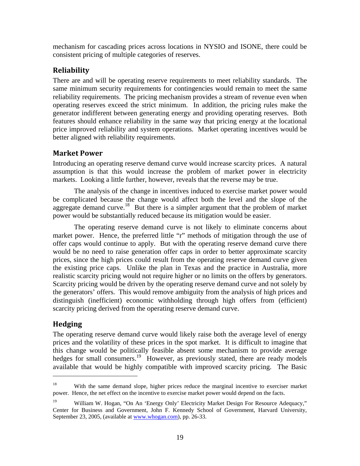mechanism for cascading prices across locations in NYSIO and ISONE, there could be consistent pricing of multiple categories of reserves.

## **Reliability**

There are and will be operating reserve requirements to meet reliability standards. The same minimum security requirements for contingencies would remain to meet the same reliability requirements. The pricing mechanism provides a stream of revenue even when operating reserves exceed the strict minimum. In addition, the pricing rules make the generator indifferent between generating energy and providing operating reserves. Both features should enhance reliability in the same way that pricing energy at the locational price improved reliability and system operations. Market operating incentives would be better aligned with reliability requirements.

### **Market Power**

Introducing an operating reserve demand curve would increase scarcity prices. A natural assumption is that this would increase the problem of market power in electricity markets. Looking a little further, however, reveals that the reverse may be true.

 The analysis of the change in incentives induced to exercise market power would be complicated because the change would affect both the level and the slope of the aggregate demand curve.<sup>18</sup> But there is a simpler argument that the problem of market power would be substantially reduced because its mitigation would be easier.

 The operating reserve demand curve is not likely to eliminate concerns about market power. Hence, the preferred little "r" methods of mitigation through the use of offer caps would continue to apply. But with the operating reserve demand curve there would be no need to raise generation offer caps in order to better approximate scarcity prices, since the high prices could result from the operating reserve demand curve given the existing price caps. Unlike the plan in Texas and the practice in Australia, more realistic scarcity pricing would not require higher or no limits on the offers by generators. Scarcity pricing would be driven by the operating reserve demand curve and not solely by the generators' offers. This would remove ambiguity from the analysis of high prices and distinguish (inefficient) economic withholding through high offers from (efficient) scarcity pricing derived from the operating reserve demand curve.

# **Hedging**

 $\overline{a}$ 

The operating reserve demand curve would likely raise both the average level of energy prices and the volatility of these prices in the spot market. It is difficult to imagine that this change would be politically feasible absent some mechanism to provide average hedges for small consumers.<sup>19</sup> However, as previously stated, there are ready models available that would be highly compatible with improved scarcity pricing. The Basic

<sup>&</sup>lt;sup>18</sup> With the same demand slope, higher prices reduce the marginal incentive to exerciser market power. Hence, the net effect on the incentive to exercise market power would depend on the facts.

<sup>&</sup>lt;sup>19</sup> William W. Hogan, "On An 'Energy Only' Electricity Market Design For Resource Adequacy," Center for Business and Government, John F. Kennedy School of Government, Harvard University, September 23, 2005, (available at www.whogan.com), pp. 26-33.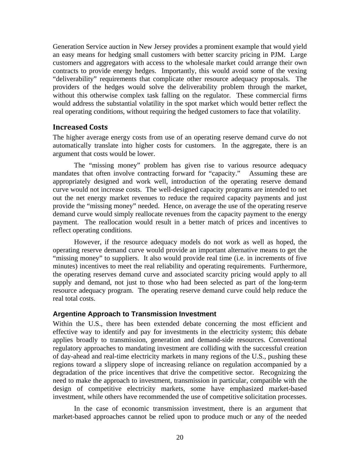Generation Service auction in New Jersey provides a prominent example that would yield an easy means for hedging small customers with better scarcity pricing in PJM. Large customers and aggregators with access to the wholesale market could arrange their own contracts to provide energy hedges. Importantly, this would avoid some of the vexing "deliverability" requirements that complicate other resource adequacy proposals. The providers of the hedges would solve the deliverability problem through the market, without this otherwise complex task falling on the regulator. These commercial firms would address the substantial volatility in the spot market which would better reflect the real operating conditions, without requiring the hedged customers to face that volatility.

### **Increased Costs**

The higher average energy costs from use of an operating reserve demand curve do not automatically translate into higher costs for customers. In the aggregate, there is an argument that costs would be lower.

 The "missing money" problem has given rise to various resource adequacy mandates that often involve contracting forward for "capacity." Assuming these are appropriately designed and work well, introduction of the operating reserve demand curve would not increase costs. The well-designed capacity programs are intended to net out the net energy market revenues to reduce the required capacity payments and just provide the "missing money" needed. Hence, on average the use of the operating reserve demand curve would simply reallocate revenues from the capacity payment to the energy payment. The reallocation would result in a better match of prices and incentives to reflect operating conditions.

 However, if the resource adequacy models do not work as well as hoped, the operating reserve demand curve would provide an important alternative means to get the "missing money" to suppliers. It also would provide real time (i.e. in increments of five minutes) incentives to meet the real reliability and operating requirements. Furthermore, the operating reserves demand curve and associated scarcity pricing would apply to all supply and demand, not just to those who had been selected as part of the long-term resource adequacy program. The operating reserve demand curve could help reduce the real total costs.

### **Argentine Approach to Transmission Investment**

Within the U.S., there has been extended debate concerning the most efficient and effective way to identify and pay for investments in the electricity system; this debate applies broadly to transmission, generation and demand-side resources. Conventional regulatory approaches to mandating investment are colliding with the successful creation of day-ahead and real-time electricity markets in many regions of the U.S., pushing these regions toward a slippery slope of increasing reliance on regulation accompanied by a degradation of the price incentives that drive the competitive sector. Recognizing the need to make the approach to investment, transmission in particular, compatible with the design of competitive electricity markets, some have emphasized market-based investment, while others have recommended the use of competitive solicitation processes.

 In the case of economic transmission investment, there is an argument that market-based approaches cannot be relied upon to produce much or any of the needed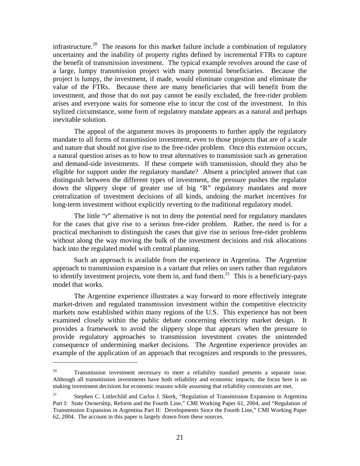infrastructure.<sup>20</sup> The reasons for this market failure include a combination of regulatory uncertainty and the inability of property rights defined by incremental FTRs to capture the benefit of transmission investment. The typical example revolves around the case of a large, lumpy transmission project with many potential beneficiaries. Because the project is lumpy, the investment, if made, would eliminate congestion and eliminate the value of the FTRs. Because there are many beneficiaries that will benefit from the investment, and those that do not pay cannot be easily excluded, the free-rider problem arises and everyone waits for someone else to incur the cost of the investment. In this stylized circumstance, some form of regulatory mandate appears as a natural and perhaps inevitable solution.

 The appeal of the argument moves its proponents to further apply the regulatory mandate to all forms of transmission investment, even to those projects that are of a scale and nature that should not give rise to the free-rider problem. Once this extension occurs, a natural question arises as to how to treat alternatives to transmission such as generation and demand-side investments. If these compete with transmission, should they also be eligible for support under the regulatory mandate? Absent a principled answer that can distinguish between the different types of investment, the pressure pushes the regulator down the slippery slope of greater use of big "R" regulatory mandates and more centralization of investment decisions of all kinds, undoing the market incentives for long-term investment without explicitly reverting to the traditional regulatory model.

The little "r" alternative is not to deny the potential need for regulatory mandates for the cases that give rise to a serious free-rider problem. Rather, the need is for a practical mechanism to distinguish the cases that give rise to serious free-rider problems without along the way moving the bulk of the investment decisions and risk allocations back into the regulated model with central planning.

Such an approach is available from the experience in Argentina. The Argentine approach to transmission expansion is a variant that relies on users rather than regulators to identify investment projects, vote them in, and fund them.<sup>21</sup> This is a beneficiary-pays model that works.

The Argentine experience illustrates a way forward to more effectively integrate market-driven and regulated transmission investment within the competitive electricity markets now established within many regions of the U.S. This experience has not been examined closely within the public debate concerning electricity market design. It provides a framework to avoid the slippery slope that appears when the pressure to provide regulatory approaches to transmission investment creates the unintended consequence of undermining market decisions. The Argentine experience provides an example of the application of an approach that recognizes and responds to the pressures,

<u>.</u>

 $20$  Transmission investment necessary to meet a reliability standard presents a separate issue. Although all transmission investments have both reliability and economic impacts, the focus here is on making investment decisions for economic reasons while assuming that reliability constraints are met.

<sup>&</sup>lt;sup>21</sup> Stephen C. Littlechild and Carlos J. Skerk, "Regulation of Transmission Expansion in Argentina Part I: State Ownership, Reform and the Fourth Line," CMI Working Paper 61, 2004, and "Regulation of Transmission Expansion in Argentina Part II: Developments Since the Fourth Line," CMI Working Paper 62, 2004. The account in this paper is largely drawn from these sources.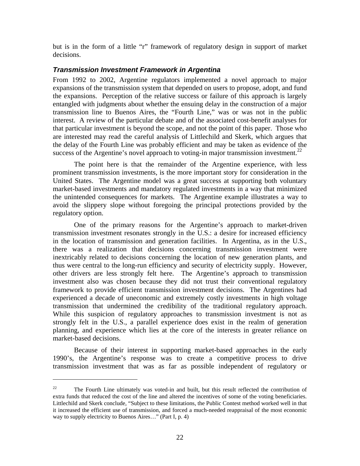but is in the form of a little "r" framework of regulatory design in support of market decisions.

### *Transmission Investment Framework in Argentina*

From 1992 to 2002, Argentine regulators implemented a novel approach to major expansions of the transmission system that depended on users to propose, adopt, and fund the expansions. Perception of the relative success or failure of this approach is largely entangled with judgments about whether the ensuing delay in the construction of a major transmission line to Buenos Aires, the "Fourth Line," was or was not in the public interest. A review of the particular debate and of the associated cost-benefit analyses for that particular investment is beyond the scope, and not the point of this paper. Those who are interested may read the careful analysis of Littlechild and Skerk, which argues that the delay of the Fourth Line was probably efficient and may be taken as evidence of the success of the Argentine's novel approach to voting-in major transmission investment.<sup>22</sup>

The point here is that the remainder of the Argentine experience, with less prominent transmission investments, is the more important story for consideration in the United States. The Argentine model was a great success at supporting both voluntary market-based investments and mandatory regulated investments in a way that minimized the unintended consequences for markets. The Argentine example illustrates a way to avoid the slippery slope without foregoing the principal protections provided by the regulatory option.

One of the primary reasons for the Argentine's approach to market-driven transmission investment resonates strongly in the U.S.: a desire for increased efficiency in the location of transmission and generation facilities. In Argentina, as in the U.S., there was a realization that decisions concerning transmission investment were inextricably related to decisions concerning the location of new generation plants, and thus were central to the long-run efficiency and security of electricity supply. However, other drivers are less strongly felt here. The Argentine's approach to transmission investment also was chosen because they did not trust their conventional regulatory framework to provide efficient transmission investment decisions. The Argentines had experienced a decade of uneconomic and extremely costly investments in high voltage transmission that undermined the credibility of the traditional regulatory approach. While this suspicion of regulatory approaches to transmission investment is not as strongly felt in the U.S., a parallel experience does exist in the realm of generation planning, and experience which lies at the core of the interests in greater reliance on market-based decisions.

Because of their interest in supporting market-based approaches in the early 1990's, the Argentine's response was to create a competitive process to drive transmission investment that was as far as possible independent of regulatory or

1

<sup>&</sup>lt;sup>22</sup> The Fourth Line ultimately was voted-in and built, but this result reflected the contribution of extra funds that reduced the cost of the line and altered the incentives of some of the voting beneficiaries. Littlechild and Skerk conclude, "Subject to these limitations, the Public Contest method worked well in that it increased the efficient use of transmission, and forced a much-needed reappraisal of the most economic way to supply electricity to Buenos Aires…" (Part I, p. 4)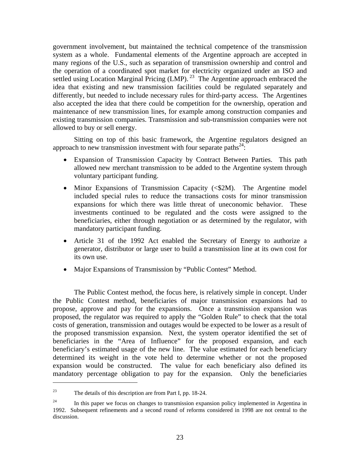government involvement, but maintained the technical competence of the transmission system as a whole. Fundamental elements of the Argentine approach are accepted in many regions of the U.S., such as separation of transmission ownership and control and the operation of a coordinated spot market for electricity organized under an ISO and settled using Location Marginal Pricing (LMP).<sup>23</sup> The Argentine approach embraced the idea that existing and new transmission facilities could be regulated separately and differently, but needed to include necessary rules for third-party access. The Argentines also accepted the idea that there could be competition for the ownership, operation and maintenance of new transmission lines, for example among construction companies and existing transmission companies. Transmission and sub-transmission companies were not allowed to buy or sell energy.

 Sitting on top of this basic framework, the Argentine regulators designed an approach to new transmission investment with four separate paths $^{24}$ .

- Expansion of Transmission Capacity by Contract Between Parties. This path allowed new merchant transmission to be added to the Argentine system through voluntary participant funding.
- Minor Expansions of Transmission Capacity (<\$2M). The Argentine model included special rules to reduce the transactions costs for minor transmission expansions for which there was little threat of uneconomic behavior. These investments continued to be regulated and the costs were assigned to the beneficiaries, either through negotiation or as determined by the regulator, with mandatory participant funding.
- Article 31 of the 1992 Act enabled the Secretary of Energy to authorize a generator, distributor or large user to build a transmission line at its own cost for its own use.
- Major Expansions of Transmission by "Public Contest" Method.

The Public Contest method, the focus here, is relatively simple in concept. Under the Public Contest method, beneficiaries of major transmission expansions had to propose, approve and pay for the expansions. Once a transmission expansion was proposed, the regulator was required to apply the "Golden Rule" to check that the total costs of generation, transmission and outages would be expected to be lower as a result of the proposed transmission expansion. Next, the system operator identified the set of beneficiaries in the "Area of Influence" for the proposed expansion, and each beneficiary's estimated usage of the new line. The value estimated for each beneficiary determined its weight in the vote held to determine whether or not the proposed expansion would be constructed. The value for each beneficiary also defined its mandatory percentage obligation to pay for the expansion. Only the beneficiaries

<sup>&</sup>lt;sup>23</sup> The details of this description are from Part I, pp. 18-24.

 $24$  In this paper we focus on changes to transmission expansion policy implemented in Argentina in 1992. Subsequent refinements and a second round of reforms considered in 1998 are not central to the discussion.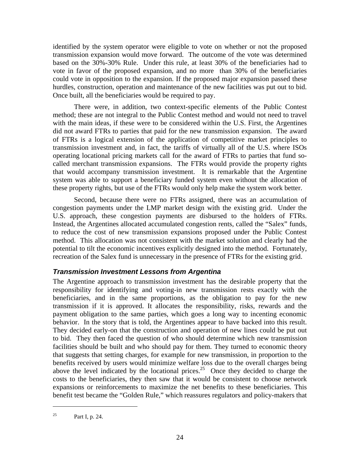identified by the system operator were eligible to vote on whether or not the proposed transmission expansion would move forward. The outcome of the vote was determined based on the 30%-30% Rule. Under this rule, at least 30% of the beneficiaries had to vote in favor of the proposed expansion, and no more than 30% of the beneficiaries could vote in opposition to the expansion. If the proposed major expansion passed these hurdles, construction, operation and maintenance of the new facilities was put out to bid. Once built, all the beneficiaries would be required to pay.

There were, in addition, two context-specific elements of the Public Contest method; these are not integral to the Public Contest method and would not need to travel with the main ideas, if these were to be considered within the U.S. First, the Argentines did not award FTRs to parties that paid for the new transmission expansion. The award of FTRs is a logical extension of the application of competitive market principles to transmission investment and, in fact, the tariffs of virtually all of the U.S. where ISOs operating locational pricing markets call for the award of FTRs to parties that fund socalled merchant transmission expansions. The FTRs would provide the property rights that would accompany transmission investment. It is remarkable that the Argentine system was able to support a beneficiary funded system even without the allocation of these property rights, but use of the FTRs would only help make the system work better.

Second, because there were no FTRs assigned, there was an accumulation of congestion payments under the LMP market design with the existing grid. Under the U.S. approach, these congestion payments are disbursed to the holders of FTRs. Instead, the Argentines allocated accumulated congestion rents, called the "Salex" funds, to reduce the cost of new transmission expansions proposed under the Public Contest method. This allocation was not consistent with the market solution and clearly had the potential to tilt the economic incentives explicitly designed into the method. Fortunately, recreation of the Salex fund is unnecessary in the presence of FTRs for the existing grid.

### *Transmission Investment Lessons from Argentina*

The Argentine approach to transmission investment has the desirable property that the responsibility for identifying and voting-in new transmission rests exactly with the beneficiaries, and in the same proportions, as the obligation to pay for the new transmission if it is approved. It allocates the responsibility, risks, rewards and the payment obligation to the same parties, which goes a long way to incenting economic behavior. In the story that is told, the Argentines appear to have backed into this result. They decided early-on that the construction and operation of new lines could be put out to bid. They then faced the question of who should determine which new transmission facilities should be built and who should pay for them. They turned to economic theory that suggests that setting charges, for example for new transmission, in proportion to the benefits received by users would minimize welfare loss due to the overall charges being above the level indicated by the locational prices.<sup>25</sup> Once they decided to charge the costs to the beneficiaries, they then saw that it would be consistent to choose network expansions or reinforcements to maximize the net benefits to these beneficiaries. This benefit test became the "Golden Rule," which reassures regulators and policy-makers that

<sup>&</sup>lt;sup>25</sup> Part I, p. 24.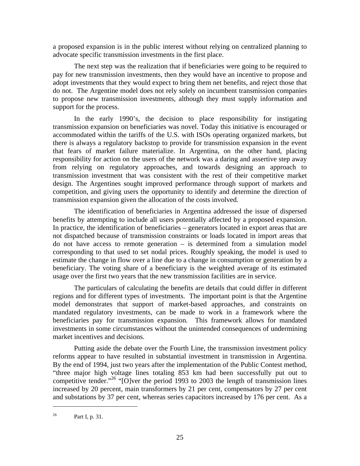a proposed expansion is in the public interest without relying on centralized planning to advocate specific transmission investments in the first place.

 The next step was the realization that if beneficiaries were going to be required to pay for new transmission investments, then they would have an incentive to propose and adopt investments that they would expect to bring them net benefits, and reject those that do not. The Argentine model does not rely solely on incumbent transmission companies to propose new transmission investments, although they must supply information and support for the process.

In the early 1990's, the decision to place responsibility for instigating transmission expansion on beneficiaries was novel. Today this initiative is encouraged or accommodated within the tariffs of the U.S. with ISOs operating organized markets, but there is always a regulatory backstop to provide for transmission expansion in the event that fears of market failure materialize. In Argentina, on the other hand, placing responsibility for action on the users of the network was a daring and assertive step away from relying on regulatory approaches, and towards designing an approach to transmission investment that was consistent with the rest of their competitive market design. The Argentines sought improved performance through support of markets and competition, and giving users the opportunity to identify and determine the direction of transmission expansion given the allocation of the costs involved.

The identification of beneficiaries in Argentina addressed the issue of dispersed benefits by attempting to include all users potentially affected by a proposed expansion. In practice, the identification of beneficiaries – generators located in export areas that are not dispatched because of transmission constraints or loads located in import areas that do not have access to remote generation – is determined from a simulation model corresponding to that used to set nodal prices. Roughly speaking, the model is used to estimate the change in flow over a line due to a change in consumption or generation by a beneficiary. The voting share of a beneficiary is the weighted average of its estimated usage over the first two years that the new transmission facilities are in service.

 The particulars of calculating the benefits are details that could differ in different regions and for different types of investments. The important point is that the Argentine model demonstrates that support of market-based approaches, and constraints on mandated regulatory investments, can be made to work in a framework where the beneficiaries pay for transmission expansion. This framework allows for mandated investments in some circumstances without the unintended consequences of undermining market incentives and decisions.

Putting aside the debate over the Fourth Line, the transmission investment policy reforms appear to have resulted in substantial investment in transmission in Argentina. By the end of 1994, just two years after the implementation of the Public Contest method, "three major high voltage lines totaling 853 km had been successfully put out to competitive tender."<sup>26</sup> "[O]ver the period 1993 to 2003 the length of transmission lines increased by 20 percent, main transformers by 21 per cent, compensators by 27 per cent and substations by 37 per cent, whereas series capacitors increased by 176 per cent. As a

<sup>&</sup>lt;sup>26</sup> Part I, p. 31.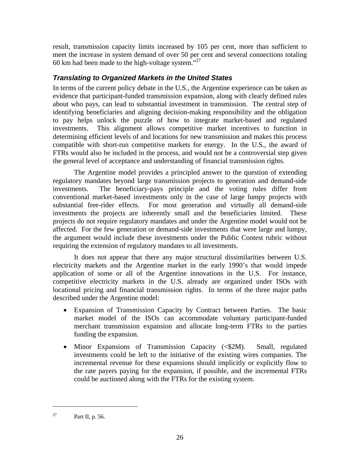result, transmission capacity limits increased by 105 per cent, more than sufficient to meet the increase in system demand of over 50 per cent and several connections totaling 60 km had been made to the high-voltage system."27

### *Translating to Organized Markets in the United States*

In terms of the current policy debate in the U.S., the Argentine experience can be taken as evidence that participant-funded transmission expansion, along with clearly defined rules about who pays, can lead to substantial investment in transmission. The central step of identifying beneficiaries and aligning decision-making responsibility and the obligation to pay helps unlock the puzzle of how to integrate market-based and regulated investments. This alignment allows competitive market incentives to function in determining efficient levels of and locations for new transmission and makes this process compatible with short-run competitive markets for energy. In the U.S., the award of FTRs would also be included in the process, and would not be a controversial step given the general level of acceptance and understanding of financial transmission rights.

 The Argentine model provides a principled answer to the question of extending regulatory mandates beyond large transmission projects to generation and demand-side investments. The beneficiary-pays principle and the voting rules differ from conventional market-based investments only in the case of large lumpy projects with substantial free-rider effects. For most generation and virtually all demand-side investments the projects are inherently small and the beneficiaries limited. These projects do not require regulatory mandates and under the Argentine model would not be affected. For the few generation or demand-side investments that were large and lumpy, the argument would include these investments under the Public Contest rubric without requiring the extension of regulatory mandates to all investments.

It does not appear that there any major structural dissimilarities between U.S. electricity markets and the Argentine market in the early 1990's that would impede application of some or all of the Argentine innovations in the U.S. For instance, competitive electricity markets in the U.S. already are organized under ISOs with locational pricing and financial transmission rights. In terms of the three major paths described under the Argentine model:

- Expansion of Transmission Capacity by Contract between Parties. The basic market model of the ISOs can accommodate voluntary participant-funded merchant transmission expansion and allocate long-term FTRs to the parties funding the expansion.
- Minor Expansions of Transmission Capacity  $(\leq 2M)$ . Small, regulated investments could be left to the initiative of the existing wires companies. The incremental revenue for these expansions should implicitly or explicitly flow to the rate payers paying for the expansion, if possible, and the incremental FTRs could be auctioned along with the FTRs for the existing system.

<sup>&</sup>lt;sup>27</sup> Part II, p. 56.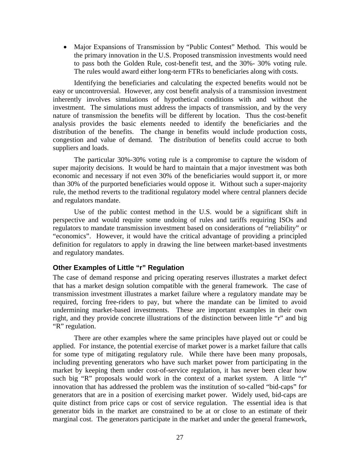• Major Expansions of Transmission by "Public Contest" Method. This would be the primary innovation in the U.S. Proposed transmission investments would need to pass both the Golden Rule, cost-benefit test, and the 30%- 30% voting rule. The rules would award either long-term FTRs to beneficiaries along with costs.

Identifying the beneficiaries and calculating the expected benefits would not be easy or uncontroversial. However, any cost benefit analysis of a transmission investment inherently involves simulations of hypothetical conditions with and without the investment. The simulations must address the impacts of transmission, and by the very nature of transmission the benefits will be different by location. Thus the cost-benefit analysis provides the basic elements needed to identify the beneficiaries and the distribution of the benefits. The change in benefits would include production costs, congestion and value of demand. The distribution of benefits could accrue to both suppliers and loads.

The particular 30%-30% voting rule is a compromise to capture the wisdom of super majority decisions. It would be hard to maintain that a major investment was both economic and necessary if not even 30% of the beneficiaries would support it, or more than 30% of the purported beneficiaries would oppose it. Without such a super-majority rule, the method reverts to the traditional regulatory model where central planners decide and regulators mandate.

Use of the public contest method in the U.S. would be a significant shift in perspective and would require some undoing of rules and tariffs requiring ISOs and regulators to mandate transmission investment based on considerations of "reliability" or "economics". However, it would have the critical advantage of providing a principled definition for regulators to apply in drawing the line between market-based investments and regulatory mandates.

### **Other Examples of Little "r" Regulation**

The case of demand response and pricing operating reserves illustrates a market defect that has a market design solution compatible with the general framework. The case of transmission investment illustrates a market failure where a regulatory mandate may be required, forcing free-riders to pay, but where the mandate can be limited to avoid undermining market-based investments. These are important examples in their own right, and they provide concrete illustrations of the distinction between little "r" and big "R" regulation.

There are other examples where the same principles have played out or could be applied. For instance, the potential exercise of market power is a market failure that calls for some type of mitigating regulatory rule. While there have been many proposals, including preventing generators who have such market power from participating in the market by keeping them under cost-of-service regulation, it has never been clear how such big "R" proposals would work in the context of a market system. A little "r" innovation that has addressed the problem was the institution of so-called "bid-caps" for generators that are in a position of exercising market power. Widely used, bid-caps are quite distinct from price caps or cost of service regulation. The essential idea is that generator bids in the market are constrained to be at or close to an estimate of their marginal cost. The generators participate in the market and under the general framework,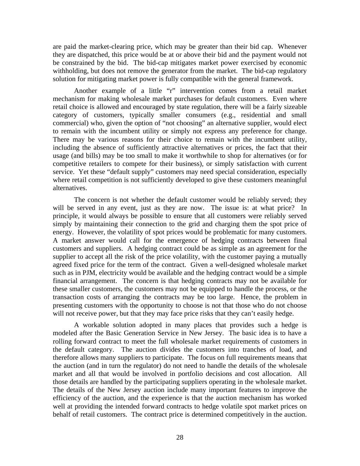are paid the market-clearing price, which may be greater than their bid cap. Whenever they are dispatched, this price would be at or above their bid and the payment would not be constrained by the bid. The bid-cap mitigates market power exercised by economic withholding, but does not remove the generator from the market. The bid-cap regulatory solution for mitigating market power is fully compatible with the general framework.

Another example of a little "r" intervention comes from a retail market mechanism for making wholesale market purchases for default customers. Even where retail choice is allowed and encouraged by state regulation, there will be a fairly sizeable category of customers, typically smaller consumers (e.g., residential and small commercial) who, given the option of "not choosing" an alternative supplier, would elect to remain with the incumbent utility or simply not express any preference for change. There may be various reasons for their choice to remain with the incumbent utility, including the absence of sufficiently attractive alternatives or prices, the fact that their usage (and bills) may be too small to make it worthwhile to shop for alternatives (or for competitive retailers to compete for their business), or simply satisfaction with current service. Yet these "default supply" customers may need special consideration, especially where retail competition is not sufficiently developed to give these customers meaningful alternatives.

The concern is not whether the default customer would be reliably served; they will be served in any event, just as they are now. The issue is: at what price? In principle, it would always be possible to ensure that all customers were reliably served simply by maintaining their connection to the grid and charging them the spot price of energy. However, the volatility of spot prices would be problematic for many customers. A market answer would call for the emergence of hedging contracts between final customers and suppliers. A hedging contract could be as simple as an agreement for the supplier to accept all the risk of the price volatility, with the customer paying a mutually agreed fixed price for the term of the contract. Given a well-designed wholesale market such as in PJM, electricity would be available and the hedging contract would be a simple financial arrangement. The concern is that hedging contracts may not be available for these smaller customers, the customers may not be equipped to handle the process, or the transaction costs of arranging the contracts may be too large. Hence, the problem in presenting customers with the opportunity to choose is not that those who do not choose will not receive power, but that they may face price risks that they can't easily hedge.

A workable solution adopted in many places that provides such a hedge is modeled after the Basic Generation Service in New Jersey. The basic idea is to have a rolling forward contract to meet the full wholesale market requirements of customers in the default category. The auction divides the customers into tranches of load, and therefore allows many suppliers to participate. The focus on full requirements means that the auction (and in turn the regulator) do not need to handle the details of the wholesale market and all that would be involved in portfolio decisions and cost allocation. All those details are handled by the participating suppliers operating in the wholesale market. The details of the New Jersey auction include many important features to improve the efficiency of the auction, and the experience is that the auction mechanism has worked well at providing the intended forward contracts to hedge volatile spot market prices on behalf of retail customers. The contract price is determined competitively in the auction.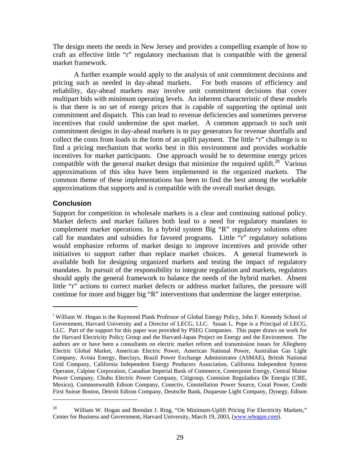The design meets the needs in New Jersey and provides a compelling example of how to craft an effective little "r" regulatory mechanism that is compatible with the general market framework.

A further example would apply to the analysis of unit commitment decisions and pricing such as needed in day-ahead markets. For both reasons of efficiency and reliability, day-ahead markets may involve unit commitment decisions that cover multipart bids with minimum operating levels. An inherent characteristic of these models is that there is no set of energy prices that is capable of supporting the optimal unit commitment and dispatch. This can lead to revenue deficiencies and sometimes perverse incentives that could undermine the spot market. A common approach to such unit commitment designs in day-ahead markets is to pay generators for revenue shortfalls and collect the costs from loads in the form of an uplift payment. The little "r" challenge is to find a pricing mechanism that works best in this environment and provides workable incentives for market participants. One approach would be to determine energy prices compatible with the general market design that minimize the required uplift.<sup>28</sup> Various approximations of this idea have been implemented in the organized markets. The common theme of these implementations has been to find the best among the workable approximations that supports and is compatible with the overall market design.

### **Conclusion**

 $\overline{a}$ 

 $\overline{a}$ 

Support for competition in wholesale markets is a clear and continuing national policy. Market defects and market failures both lead to a need for regulatory mandates to complement market operations. In a hybrid system Big "R" regulatory solutions often call for mandates and subsidies for favored programs. Little "r" regulatory solutions would emphasize reforms of market design to improve incentives and provide other initiatives to support rather than replace market choices. A general framework is available both for designing organized markets and testing the impact of regulatory mandates. In pursuit of the responsibility to integrate regulation and markets, regulators should apply the general framework to balance the needs of the hybrid market. Absent little "r" actions to correct market defects or address market failures, the pressure will continue for more and bigger big "R" interventions that undermine the larger enterprise.

<sup>&</sup>lt;sup>i</sup> William W. Hogan is the Raymond Plank Professor of Global Energy Policy, John F. Kennedy School of Government, Harvard University and a Director of LECG, LLC. Susan L. Pope is a Principal of LECG, LLC. Part of the support for this paper was provided by PSEG Companies. This paper draws on work for the Harvard Electricity Policy Group and the Harvard-Japan Project on Energy and the Environment. The authors are or have been a consultants on electric market reform and transmission issues for Allegheny Electric Global Market, American Electric Power, American National Power, Australian Gas Light Company, Avista Energy, Barclays, Brazil Power Exchange Administrator (ASMAE), British National Grid Company, California Independent Energy Producers Association, California Independent System Operator, Calpine Corporation, Canadian Imperial Bank of Commerce, Centerpoint Energy, Central Maine Power Company, Chubu Electric Power Company, Citigroup, Comision Reguladora De Energia (CRE, Mexico), Commonwealth Edison Company, Conectiv, Constellation Power Source, Coral Power, Credit First Suisse Boston, Detroit Edison Company, Deutsche Bank, Duquesne Light Company, Dynegy, Edison

<sup>&</sup>lt;sup>28</sup> William W. Hogan and Brendan J. Ring, "On Minimum-Uplift Pricing For Electricity Markets," Center for Business and Government, Harvard University, March 19, 2003, (www.whogan.com).